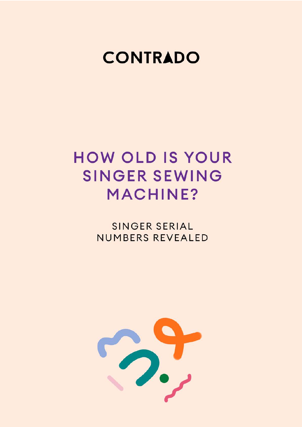

# **HOW OLD IS YOUR SINGER SEWING MACHINE?**

**SINGER SERIAL** NUMBERS REVEALED

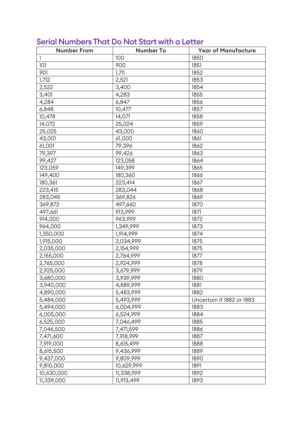| <b>Number From</b> | Number To  | <b>Year of Manufacture</b> |
|--------------------|------------|----------------------------|
| $\mathbf{1}$       | 100        | 1850                       |
| 101                | 900        | 1851                       |
| 901                | 1,711      | 1852                       |
| 1,712              | 2,521      | 1853                       |
| 2,522              | 3,400      | 1854                       |
| 3,401              | 4,283      | 1855                       |
| 4,284              | 6,847      | 1856                       |
| 6,848              | 10,477     | 1857                       |
| 10,478             | 14,071     | 1858                       |
| 14,072             | 25,024     | 1859                       |
| 25,025             | 43,000     | 1860                       |
| 43,001             | 61,000     | 1861                       |
| 61,001             | 79,396     | 1862                       |
| 79,397             | 99,426     | 1863                       |
| 99,427             | 123,058    | 1864                       |
| 123,059            | 149,399    | 1865                       |
| 149,400            | 180,360    | 1866                       |
| 180,361            | 223,414    | 1867                       |
| 223,415            | 283,044    | 1868                       |
| 283,045            | 369,826    | 1869                       |
| 369,872            | 497,660    | 1870                       |
| 497,661            | 913,999    | 1871                       |
| 914,000            | 963,999    | 1872                       |
| 964,000            | 1,349,999  | 1873                       |
| 1,350,000          | 1,914,999  | 1874                       |
| 1,915,000          | 2,034,999  | 1875                       |
| 2,035,000          | 2,154,999  | 1875                       |
| 2,155,000          | 2,764,999  | 1877                       |
| 2,765,000          | 2,924,999  | 1878                       |
| 2,925,000          | 3,679,999  | 1879                       |
| 3,680,000          | 3,939,999  | 1880                       |
| 3,940,000          | 4,889,999  | 1881                       |
| 4,890,000          | 5,483,999  | 1882                       |
| 5,484,000          | 5,493,999  | Uncertain if 1882 or 1883  |
| 5,494,000          | 6,004,999  | 1883                       |
| 6,005,000          | 6,524,999  | 1884                       |
| 6,525,000          | 7,046,499  | 1885                       |
| 7,046,500          | 7,471,599  | 1886                       |
| 7,471,600          | 7,918,999  | 1887                       |
| 7,919,000          | 8,615,499  | 1888                       |
| 8,615,500          | 9,436,999  | 1889                       |
| 9,437,000          | 9,809,999  | 1890                       |
| 9,810,000          | 10,629,999 | 1891                       |
| 10,630,000         | 11,338,999 | 1892                       |
| 11,339,000         | 11,913,499 | 1893                       |

# Serial Numbers That Do Not Start with a Letter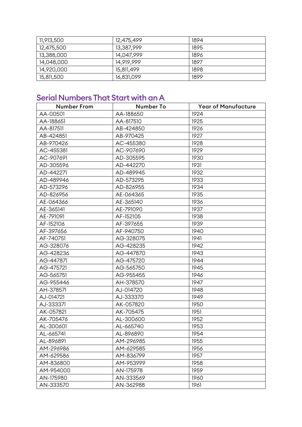| 11,913,500 | 12,475,499 | 1894 |
|------------|------------|------|
| 12,475,500 | 13,387,999 | 1895 |
| 13,388,000 | 14,047,999 | 1896 |
| 14,048,000 | 14,919,999 | 1897 |
| 14,920,000 | 15,811,499 | 1898 |
| 15,811,500 | 16,831,099 | 1899 |

# Serial Numbers That Start with an A

| <b>Number From</b> | Number To | <b>Year of Manufacture</b> |
|--------------------|-----------|----------------------------|
| AA-00501           | AA-188650 | 1924                       |
| AA-188651          | AA-817510 | 1925                       |
| AA-817511          | AB-424850 | 1926                       |
| AB-424851          | AB-970425 | 1927                       |
| AB-970426          | AC-455380 | 1928                       |
| AC-455381          | AC-907690 | 1929                       |
| AC-907691          | AD-305595 | 1930                       |
| AD-305596          | AD-442270 | 1931                       |
| AD-442271          | AD-489945 | 1932                       |
| AD-489946          | AD-573295 | 1933                       |
| AD-573296          | AD-826955 | 1934                       |
| AD-826956          | AE-064365 | 1935                       |
| AE-064366          | AE-365140 | 1936                       |
| AE-365141          | AE-791090 | 1937                       |
| AE-791091          | AF-152105 | 1938                       |
| AF-152106          | AF-397655 | 1939                       |
| AF-397656          | AF-940750 | 1940                       |
| AF-740751          | AG-328075 | 1941                       |
| AG-328076          | AG-428235 | 1942                       |
| AG-428236          | AG-447870 | 1943                       |
| AG-447871          | AG-475720 | 1944                       |
| AG-475721          | AG-565750 | 1945                       |
| AG-565751          | AG-955455 | 1946                       |
| AG-955446          | AH-378570 | 1947                       |
| AH-378571          | AJ-014720 | 1948                       |
| AJ-014721          | AJ-333370 | 1949                       |
| AJ-333371          | AK-057820 | 1950                       |
| AK-057821          | AK-705475 | 1951                       |
| AK-705476          | AL-300600 | 1952                       |
| AL-300601          | AL-665740 | 1953                       |
| AL-665741          | AL-896890 | 1954                       |
| AL-896891          | AM-296985 | 1955                       |
| AM-296986          | AM-629585 | 1956                       |
| AM-629586          | AM-836799 | 1957                       |
| AM-836800          | AM-953999 | 1958                       |
| AM-954000          | AN-175978 | 1959                       |
| AN-175980          | AN-333569 | 1960                       |
| AN-333570          | AN-362988 | 1961                       |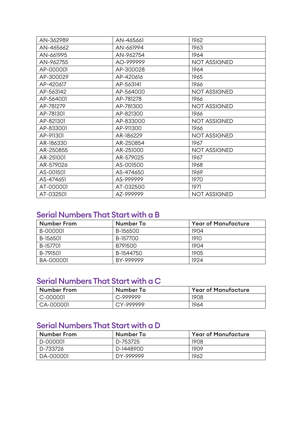| AN-362989 | AN-465661 | 1962                |
|-----------|-----------|---------------------|
| AN-465662 | AN-661994 | 1963                |
| AN-661995 | AN-962754 | 1964                |
| AN-962755 | AO-999999 | <b>NOT ASSIGNED</b> |
| AP-000001 | AP-300028 | 1964                |
| AP-300029 | AP-420616 | 1965                |
| AP-420617 | AP-563141 | 1966                |
| AP-563142 | AP-564000 | <b>NOT ASSIGNED</b> |
| AP-564001 | AP-781278 | 1966                |
| AP-781279 | AP-781300 | <b>NOT ASSIGNED</b> |
| AP-781301 | AP-821300 | 1966                |
| AP-821301 | AP-833000 | <b>NOT ASSIGNED</b> |
| AP-833001 | AP-911300 | 1966                |
| AP-911301 | AR-186229 | <b>NOT ASSIGNED</b> |
| AR-186330 | AR-250854 | 1967                |
| AR-250855 | AR-251000 | <b>NOT ASSIGNED</b> |
| AR-251001 | AR-579025 | 1967                |
| AR-579026 | AS-001500 | 1968                |
| AS-001501 | AS-474650 | 1969                |
| AS-474651 | AS-999999 | 1970                |
| AT-000001 | AT-032500 | 1971                |
| AT-032501 | AZ-999999 | <b>NOT ASSIGNED</b> |

# Serial Numbers That Start with a B

| <b>Number From</b> | Number To | <b>Year of Manufacture</b> |
|--------------------|-----------|----------------------------|
| B-000001           | B-156500  | 1904                       |
| B-156501           | B-157700  | 1910                       |
| B-157701           | B791500   | 1904                       |
| B-791501           | B-1544750 | 1905                       |
| BA-000001          | BY-999999 | 1924                       |

# Serial Numbers That Start with a C

| <b>Number From</b> | Number To | <b>Year of Manufacture</b> |
|--------------------|-----------|----------------------------|
| C-000001           | C-999999  | 1908                       |
| CA-000001          | CY-999999 | 1964                       |

# Serial Numbers That Start with a D

| Number From | Number To | <b>Year of Manufacture</b> |
|-------------|-----------|----------------------------|
| D-000001    | D-753725  | 1908                       |
| D-733726    | D-1448900 | 1909                       |
| DA-000001   | DY-999999 | 1962                       |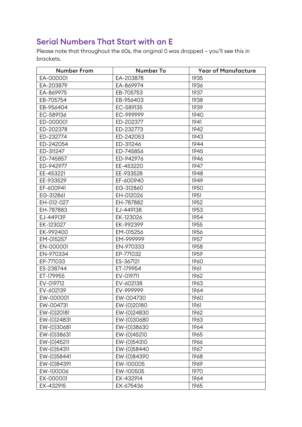# Serial Numbers That Start with an E

Please note that throughout the 60s, the original 0 was dropped – you'll see this in brackets.

| <b>Number From</b> | Number To   | <b>Year of Manufacture</b> |
|--------------------|-------------|----------------------------|
| EA-000001          | EA-203878   | 1935                       |
| EA-203879          | EA-869974   | 1936                       |
| EA-869975          | EB-705753   | 1937                       |
| EB-705754          | EB-956403   | 1938                       |
| EB-956404          | EC-589135   | 1939                       |
| EC-589136          | EC-999999   | 1940                       |
| ED-000001          | ED-202377   | 1941                       |
| ED-202378          | ED-232773   | 1942                       |
| ED-232774          | ED-242053   | 1943                       |
| ED-242054          | ED-311246   | 1944                       |
| ED-311247          | ED-745856   | 1945                       |
| ED-745857          | ED-942976   | 1946                       |
| ED-942977          | EE-453220   | 1947                       |
| EE-453221          | EE-933528   | 1948                       |
| EE-933529          | EF-600940   | 1949                       |
| EF-600941          | EG-312860   | 1950                       |
| EG-312861          | EH-012026   | 1951                       |
| EH-012-027         | EH-787882   | 1952                       |
| EH-787883          | EJ-449138   | 1953                       |
| EJ-449139          | EK-123026   | 1954                       |
| EK-123027          | EK-992399   | 1955                       |
| EK-992400          | EM-015256   | 1956                       |
| EM-015257          | EM-999999   | 1957                       |
| EN-000001          | EN-970333   | 1958                       |
| EN-970334          | EP-771032   | 1959                       |
| EP-771033          | ES-367121   | 1960                       |
| ES-238744          | ET-179954   | 1961                       |
| ET-179955          | EV-019711   | 1962                       |
| EV-019712          | EV-602138   | 1963                       |
| EV-602139          | EV-999999   | 1964                       |
| EW-000001          | EW-004730   | 1960                       |
| EW-004731          | EW-(0)20180 | 1961                       |
| EW-(0)20181        | EW-(0)24830 | 1962                       |
| EW-(0)24831        | EW-(0)30680 | 1963                       |
| EW-(0)30681        | EW-(0)38630 | 1964                       |
| EW-(0)38631        | EW-(0)45210 | 1965                       |
| EW-(0)45211        | EW-(0)54310 | 1966                       |
| EW-(0)54311        | EW-(0)58440 | 1967                       |
| EW-(0)58441        | EW-(0)84390 | 1968                       |
| EW-(0)84391        | EW-100005   | 1969                       |
| EW-100006          | EW-100505   | 1970                       |
| EX-000001          | EX-432914   | 1964                       |
| EX-432915          | EX-675436   | 1965                       |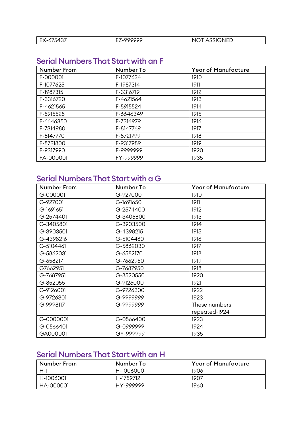| $.43-$<br>FУ<br>$ \sim$<br>, ت<br>$\mathbf{L}$<br>ັ | -- | NΙ<br>ᄓᄃᅛ<br>יי |
|-----------------------------------------------------|----|-----------------|

# Serial Numbers That Start with an F

| Number From | <b>Number To</b> | <b>Year of Manufacture</b> |
|-------------|------------------|----------------------------|
| F-000001    | F-1077624        | 1910                       |
| F-1077625   | F-1987314        | 1911                       |
| F-1987315   | F-3316719        | 1912                       |
| F-3316720   | F-4621564        | 1913                       |
| F-4621565   | F-5915524        | 1914                       |
| F-5915525   | F-6646349        | 1915                       |
| F-6646350   | F-7314979        | 1916                       |
| F-7314980   | F-8147769        | 1917                       |
| F-8147770   | F-8721799        | 1918                       |
| F-8721800   | F-9317989        | 1919                       |
| F-9317990   | F-9999999        | 1920                       |
| FA-000001   | FY-999999        | 1935                       |

# Serial Numbers That Start with a G

| <b>Number From</b> | Number To | <b>Year of Manufacture</b> |
|--------------------|-----------|----------------------------|
| G-000001           | G-927000  | 1910                       |
| G-927001           | G-1691650 | 1911                       |
| G-1691651          | G-2574400 | 1912                       |
| G-2574401          | G-3405800 | 1913                       |
| G-3405801          | G-3903500 | 1914                       |
| G-3903501          | G-4398215 | 1915                       |
| G-4398216          | G-5104460 | 1916                       |
| G-5104461          | G-5862030 | 1917                       |
| G-5862031          | G-6582170 | 1918                       |
| G-6582171          | G-7662950 | 1919                       |
| G7662951           | G-7687950 | 1918                       |
| G-7687951          | G-8520550 | 1920                       |
| G-8520551          | G-9126000 | 1921                       |
| G-9126001          | G-9726300 | 1922                       |
| G-9726301          | G-9999999 | 1923                       |
| G-9998117          | G-9999999 | These numbers              |
|                    |           | repeated-1924              |
| G-0000001          | G-0566400 | 1923                       |
| G-0566401          | G-0999999 | 1924                       |
| GA000001           | GY-999999 | 1935                       |

# Serial Numbers That Start with an H

| <b>Number From</b> | Number To | <b>Year of Manufacture</b> |
|--------------------|-----------|----------------------------|
| $H-1$              | H-1006000 | 1906                       |
| H-1006001          | H-1759712 | 1907                       |
| HA-000001          | HY-999999 | 1960                       |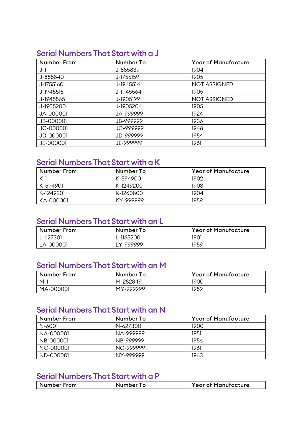#### Serial Numbers That Start with a J

| <b>Number From</b> | <b>Number To</b> | <b>Year of Manufacture</b> |
|--------------------|------------------|----------------------------|
| $J-1$              | J-885839         | 1904                       |
| J-885840           | J-1755159        | 1905                       |
| J-1755160          | J-1945514        | <b>NOT ASSIGNED</b>        |
| J-1945515          | J-1945564        | 1905                       |
| J-1945565          | J-1905199        | <b>NOT ASSIGNED</b>        |
| J-1905200          | J-1905204        | 1905                       |
| JA-000001          | JA-999999        | 1924                       |
| JB-000001          | JB-999999        | 1936                       |
| JC-000001          | JC-999999        | 1948                       |
| JD-000001          | JD-999999        | 1954                       |
| JE-000001          | JE-999999        | 1961                       |

# Serial Numbers That Start with a K

| <b>Number From</b> | Number To | <b>Year of Manufacture</b> |
|--------------------|-----------|----------------------------|
| $K-1$              | K-594900  | 1902                       |
| K-594901           | K-1249200 | 1903                       |
| K-1249201          | K-1260800 | 1904                       |
| KA-000001          | KY-999999 | 1959                       |

#### Serial Numbers That Start with an L

| Number From | Number To  | <b>Year of Manufacture</b> |
|-------------|------------|----------------------------|
| L-627301    | L-1165200  | 1901                       |
| LA-000001   | I Y-999999 | 1959                       |

# Serial Numbers That Start with an M

| <b>Number From</b> | Number To | <b>Year of Manufacture</b> |
|--------------------|-----------|----------------------------|
| $M-1$              | M-282849  | 1900                       |
| MA-000001          | MY-999999 | 1959                       |

# Serial Numbers That Start with an N

| <b>Number From</b> | Number To | <b>Year of Manufacture</b> |
|--------------------|-----------|----------------------------|
| N-6001             | N-627300  | 1900                       |
| NA-000001          | NA-999999 | 1951                       |
| NB-000001          | NB-999999 | 1956                       |
| NC-000001          | NC-999999 | 1961                       |
| ND-000001          | NY-999999 | 1963                       |

#### Serial Numbers That Start with a P

| <b>Number From</b> | 1 Q | <b>Year of Manufacture</b> |
|--------------------|-----|----------------------------|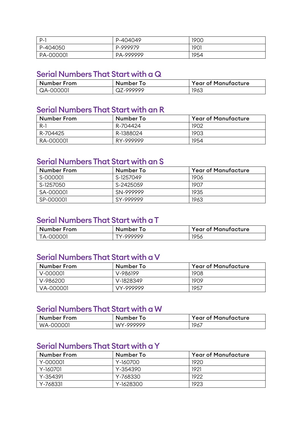| P-1       | P-404049  | 1900 |
|-----------|-----------|------|
| P-404050  | P-999979  | 1901 |
| PA-000001 | PA-999999 | 1954 |

#### Serial Numbers That Start with a Q

| Number From      | Number To | <b>Year of Manufacture</b> |
|------------------|-----------|----------------------------|
| $\mid$ QA-000001 | QZ-999999 | 1963                       |

#### Serial Numbers That Start with an R

| <b>Number From</b> | Number To | <b>Year of Manufacture</b> |
|--------------------|-----------|----------------------------|
| - R-1              | R-704424  | 1902                       |
| R-704425           | R-1388024 | 1903                       |
| RA-000001          | RY-999999 | 1954                       |

#### Serial Numbers That Start with an S

| <b>Number From</b> | Number To | <b>Year of Manufacture</b> |
|--------------------|-----------|----------------------------|
| S-000001           | S-1257049 | 1906                       |
| S-1257050          | S-2425059 | 1907                       |
| SA-000001          | SN-999999 | 1935                       |
| SP-000001          | SY-999999 | 1963                       |

#### Serial Numbers That Start with a T

| <b>Number From</b> | Number To | <b>Year of Manufacture</b> |
|--------------------|-----------|----------------------------|
| TA-000001          | TY-999999 | 1956                       |

#### Serial Numbers That Start with a V

| Number From | Number To | <b>Year of Manufacture</b> |
|-------------|-----------|----------------------------|
| $V-000001$  | V-986199  | 1908                       |
| V-986200    | V-1828349 | 1909                       |
| VA-000001   | VY-999999 | 1957                       |

#### Serial Numbers That Start with a W

| <b>Number From</b> | Number To | <b>Year of Manufacture</b> |
|--------------------|-----------|----------------------------|
| WA-000001          | WY-999999 | 1967                       |

# Serial Numbers That Start with a Y

| Number From | Number To | <b>Year of Manufacture</b> |
|-------------|-----------|----------------------------|
| Y-000001    | Y-160700  | 1920                       |
| Y-160701    | Y-354390  | 1921                       |
| Y-354391    | Y-768330  | 1922                       |
| Y-768331    | Y-1628300 | 1923                       |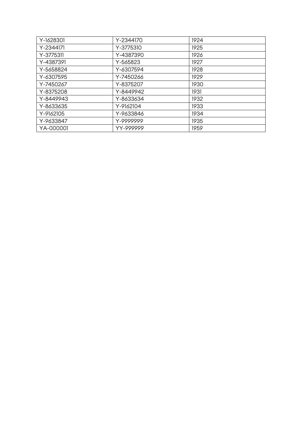| Y-1628301 | Y-2344170 | 1924 |
|-----------|-----------|------|
| Y-2344171 | Y-3775310 | 1925 |
| Y-3775311 | Y-4387390 | 1926 |
| Y-4387391 | Y-565823  | 1927 |
| Y-5658824 | Y-6307594 | 1928 |
| Y-6307595 | Y-7450266 | 1929 |
| Y-7450267 | Y-8375207 | 1930 |
| Y-8375208 | Y-8449942 | 1931 |
| Y-8449943 | Y-8633634 | 1932 |
| Y-8633635 | Y-9162104 | 1933 |
| Y-9162105 | Y-9633846 | 1934 |
| Y-9633847 | Y-9999999 | 1935 |
| YA-000001 | YY-999999 | 1959 |